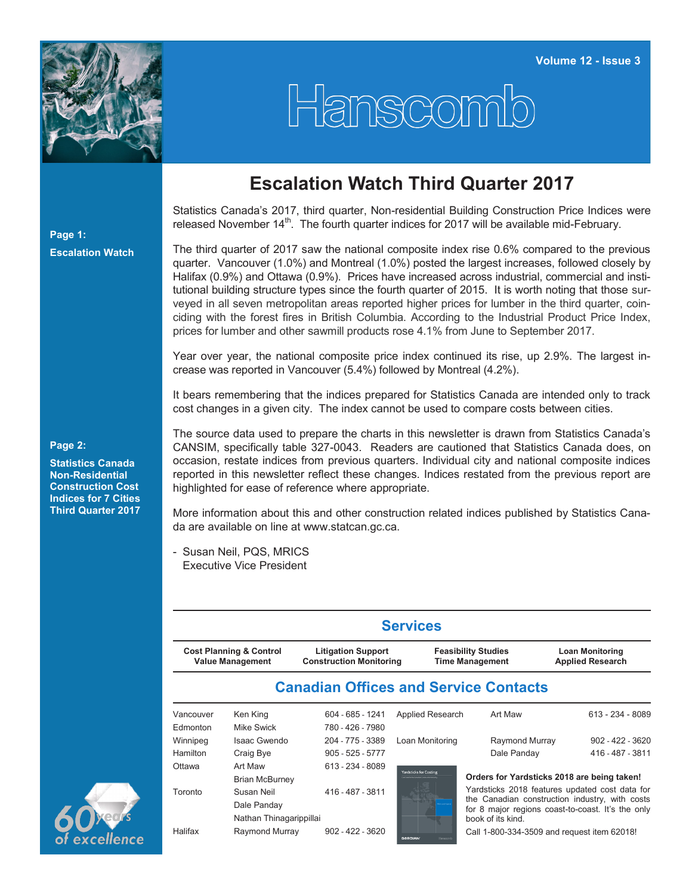

## Hanscom

## **Escalation Watch Third Quarter 2017**

Statistics Canada's 2017, third quarter, Non-residential Building Construction Price Indices were released November  $14<sup>th</sup>$ . The fourth quarter indices for 2017 will be available mid-February.

The third quarter of 2017 saw the national composite index rise 0.6% compared to the previous quarter. Vancouver (1.0%) and Montreal (1.0%) posted the largest increases, followed closely by Halifax (0.9%) and Ottawa (0.9%). Prices have increased across industrial, commercial and institutional building structure types since the fourth quarter of 2015. It is worth noting that those surveyed in all seven metropolitan areas reported higher prices for lumber in the third quarter, coinciding with the forest fires in British Columbia. According to the Industrial Product Price Index, prices for lumber and other sawmill products rose 4.1% from June to September 2017.

Year over year, the national composite price index continued its rise, up 2.9%. The largest increase was reported in Vancouver (5.4%) followed by Montreal (4.2%).

It bears remembering that the indices prepared for Statistics Canada are intended only to track cost changes in a given city. The index cannot be used to compare costs between cities.

The source data used to prepare the charts in this newsletter is drawn from Statistics Canada's CANSIM, specifically table 327-0043. Readers are cautioned that Statistics Canada does, on occasion, restate indices from previous quarters. Individual city and national composite indices reported in this newsletter reflect these changes. Indices restated from the previous report are highlighted for ease of reference where appropriate.

More information about this and other construction related indices published by Statistics Canada are available on line at [www.statcan.gc.ca.](http://www.statcan.gc.ca)

- Susan Neil, PQS, MRICS Executive Vice President

|                                                               |                                  |                                                             | <b>Services</b>               |                                                      |                                                   |  |  |  |
|---------------------------------------------------------------|----------------------------------|-------------------------------------------------------------|-------------------------------|------------------------------------------------------|---------------------------------------------------|--|--|--|
| <b>Cost Planning &amp; Control</b><br><b>Value Management</b> |                                  | <b>Litigation Support</b><br><b>Construction Monitoring</b> |                               | <b>Feasibility Studies</b><br><b>Time Management</b> | <b>Loan Monitoring</b><br><b>Applied Research</b> |  |  |  |
|                                                               |                                  |                                                             |                               | <b>Canadian Offices and Service Contacts</b>         |                                                   |  |  |  |
| Vancouver                                                     | Ken King                         | 604 - 685 - 1241                                            | Applied Research              | Art Maw                                              | 613 - 234 - 8089                                  |  |  |  |
| Edmonton                                                      | Mike Swick                       | 780 - 426 - 7980                                            |                               |                                                      |                                                   |  |  |  |
| Winnipeg                                                      | Isaac Gwendo                     | 204 - 775 - 3389                                            | Loan Monitoring               | Raymond Murray                                       | $902 - 422 - 3620$                                |  |  |  |
| <b>Hamilton</b>                                               | Craig Bye                        | $905 - 525 - 5777$                                          |                               | Dale Panday                                          | 416 - 487 - 3811                                  |  |  |  |
| Ottawa                                                        | Art Maw<br><b>Brian McBurney</b> | 613 - 234 - 8089                                            | <b>Yardsticks for Costing</b> |                                                      | Orders for Yardsticks 2018 are being taken!       |  |  |  |
| Toronto                                                       | Susan Neil                       | 416 - 487 - 3811                                            |                               |                                                      | Yardsticks 2018 features updated cost data for    |  |  |  |
|                                                               | Dale Panday                      |                                                             |                               |                                                      | the Canadian construction industry, with costs    |  |  |  |
|                                                               | Nathan Thinagarippillai          |                                                             |                               | book of its kind.                                    | for 8 major regions coast-to-coast. It's the only |  |  |  |
| Halifax                                                       | Raymond Murray                   | $902 - 422 - 3620$                                          |                               | Call 1-800-334-3509 and request item 62018!          |                                                   |  |  |  |

## **Page 2:**

**Page 1:**

**Escalation Watch**

**Statistics Canada Non-Residential Construction Cost Indices for 7 Cities Third Quarter 2017**